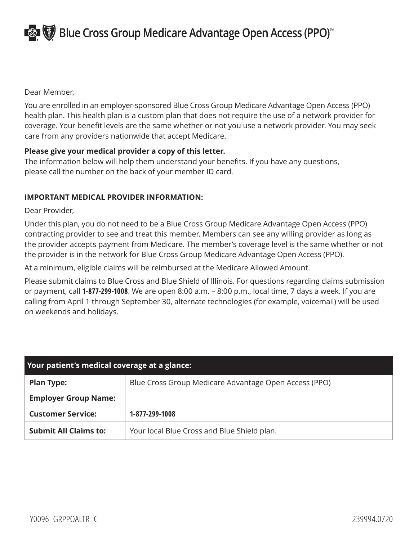**EST (5)** Blue Cross Group Medicare Advantage Open Access (PPO)<sup>\*</sup>

Dear Member,

You are enrolled in an employer-sponsored Blue Cross Group Medicare Advantage Open Access (PPO) health plan. This health plan is a custom plan that does not require the use of a network provider for coverage. Your benefit levels are the same whether or not you use a network provider. You may seek care from any providers nationwide that accept Medicare.

## **Please give your medical provider a copy of this letter.**

The information below will help them understand your benefits. If you have any questions, please call the number on the back of your member ID card.

## **IMPORTANT MEDICAL PROVIDER INFORMATION:**

Dear Provider,

Under this plan, you do not need to be a Blue Cross Group Medicare Advantage Open Access (PPO) contracting provider to see and treat this member. Members can see any willing provider as long as the provider accepts payment from Medicare. The member's coverage level is the same whether or not the provider is in the network for Blue Cross Group Medicare Advantage Open Access (PPO).

At a minimum, eligible claims will be reimbursed at the Medicare Allowed Amount.

Please submit claims to Blue Cross and Blue Shield of Illinois. For questions regarding claims submission or payment, call **1-877-299-1008**. We are open 8:00 a.m. – 8:00 p.m., local time, 7 days a week. If you are calling from April 1 through September 30, alternate technologies (for example, voicemail) will be used on weekends and holidays.

| Your patient's medical coverage at a glance: |                                                       |
|----------------------------------------------|-------------------------------------------------------|
| <b>Plan Type:</b>                            | Blue Cross Group Medicare Advantage Open Access (PPO) |
| <b>Employer Group Name:</b>                  |                                                       |
| <b>Customer Service:</b>                     | 1-877-299-1008                                        |
| <b>Submit All Claims to:</b>                 | Your local Blue Cross and Blue Shield plan.           |